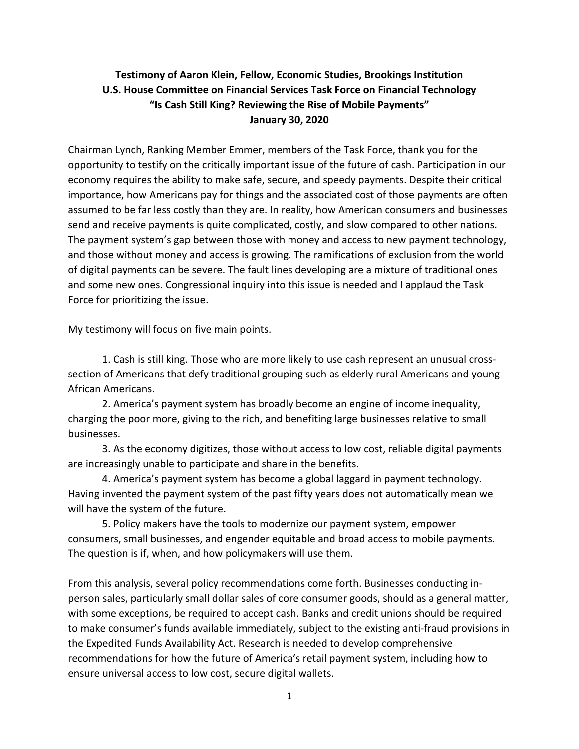# **Testimony of Aaron Klein, Fellow, Economic Studies, Brookings Institution U.S. House Committee on Financial Services Task Force on Financial Technology "Is Cash Still King? Reviewing the Rise of Mobile Payments" January 30, 2020**

Chairman Lynch, Ranking Member Emmer, members of the Task Force, thank you for the opportunity to testify on the critically important issue of the future of cash. Participation in our economy requires the ability to make safe, secure, and speedy payments. Despite their critical importance, how Americans pay for things and the associated cost of those payments are often assumed to be far less costly than they are. In reality, how American consumers and businesses send and receive payments is quite complicated, costly, and slow compared to other nations. The payment system's gap between those with money and access to new payment technology, and those without money and access is growing. The ramifications of exclusion from the world of digital payments can be severe. The fault lines developing are a mixture of traditional ones and some new ones. Congressional inquiry into this issue is needed and I applaud the Task Force for prioritizing the issue.

My testimony will focus on five main points.

1. Cash is still king. Those who are more likely to use cash represent an unusual crosssection of Americans that defy traditional grouping such as elderly rural Americans and young African Americans.

2. America's payment system has broadly become an engine of income inequality, charging the poor more, giving to the rich, and benefiting large businesses relative to small businesses.

3. As the economy digitizes, those without access to low cost, reliable digital payments are increasingly unable to participate and share in the benefits.

4. America's payment system has become a global laggard in payment technology. Having invented the payment system of the past fifty years does not automatically mean we will have the system of the future.

5. Policy makers have the tools to modernize our payment system, empower consumers, small businesses, and engender equitable and broad access to mobile payments. The question is if, when, and how policymakers will use them.

From this analysis, several policy recommendations come forth. Businesses conducting inperson sales, particularly small dollar sales of core consumer goods, should as a general matter, with some exceptions, be required to accept cash. Banks and credit unions should be required to make consumer's funds available immediately, subject to the existing anti-fraud provisions in the Expedited Funds Availability Act. Research is needed to develop comprehensive recommendations for how the future of America's retail payment system, including how to ensure universal access to low cost, secure digital wallets.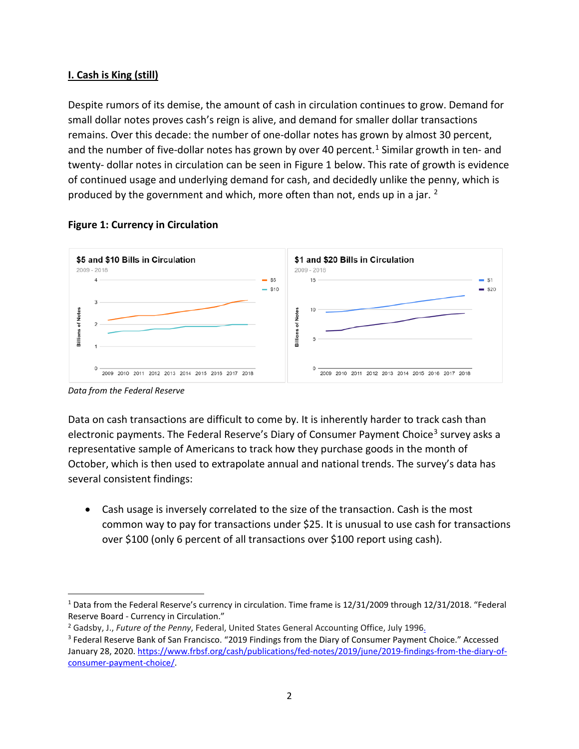# **I. Cash is King (still)**

Despite rumors of its demise, the amount of cash in circulation continues to grow. Demand for small dollar notes proves cash's reign is alive, and demand for smaller dollar transactions remains. Over this decade: the number of one-dollar notes has grown by almost 30 percent, and the number of five-dollar notes has grown by over 40 percent.<sup>[1](#page-1-0)</sup> Similar growth in ten- and twenty- dollar notes in circulation can be seen in Figure 1 below. This rate of growth is evidence of continued usage and underlying demand for cash, and decidedly unlike the penny, which is produced by the government and which, more often than not, ends up in a jar. [2](#page-1-1)



# **Figure 1: Currency in Circulation**



Data on cash transactions are difficult to come by. It is inherently harder to track cash than electronic payments. The Federal Reserve's Diary of Consumer Payment Choice<sup>[3](#page-1-2)</sup> survey asks a representative sample of Americans to track how they purchase goods in the month of October, which is then used to extrapolate annual and national trends. The survey's data has several consistent findings:

• Cash usage is inversely correlated to the size of the transaction. Cash is the most common way to pay for transactions under \$25. It is unusual to use cash for transactions over \$100 (only 6 percent of all transactions over \$100 report using cash).

<span id="page-1-0"></span> $1$  Data from the Federal Reserve's currency in circulation. Time frame is 12/31/2009 through 12/31/2018. "Federal

<span id="page-1-1"></span>Reserve Board - Currency in Circulation."<br><sup>2</sup> Gadsby, J., Future of the Penny, Federal, United States General Accounting Office, July 1996.

<span id="page-1-2"></span><sup>&</sup>lt;sup>3</sup> Federal Reserve Bank of San Francisco. "2019 Findings from the Diary of Consumer Payment Choice." Accessed January 28, 2020[. https://www.frbsf.org/cash/publications/fed-notes/2019/june/2019-findings-from-the-diary-of](https://www.frbsf.org/cash/publications/fed-notes/2019/june/2019-findings-from-the-diary-of-consumer-payment-choice/)[consumer-payment-choice/.](https://www.frbsf.org/cash/publications/fed-notes/2019/june/2019-findings-from-the-diary-of-consumer-payment-choice/)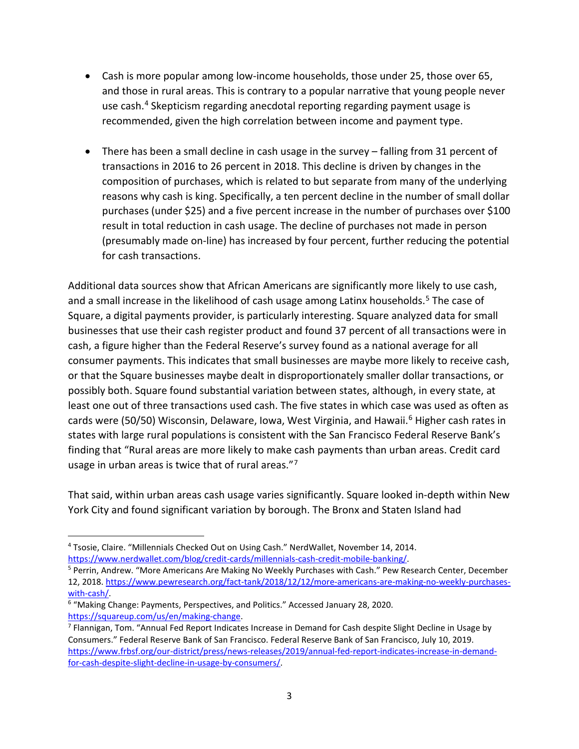- Cash is more popular among low-income households, those under 25, those over 65, and those in rural areas. This is contrary to a popular narrative that young people never use cash. [4](#page-2-0) Skepticism regarding anecdotal reporting regarding payment usage is recommended, given the high correlation between income and payment type.
- There has been a small decline in cash usage in the survey falling from 31 percent of transactions in 2016 to 26 percent in 2018. This decline is driven by changes in the composition of purchases, which is related to but separate from many of the underlying reasons why cash is king. Specifically, a ten percent decline in the number of small dollar purchases (under \$25) and a five percent increase in the number of purchases over \$100 result in total reduction in cash usage. The decline of purchases not made in person (presumably made on-line) has increased by four percent, further reducing the potential for cash transactions.

Additional data sources show that African Americans are significantly more likely to use cash, and a small increase in the likelihood of cash usage among Latinx households.<sup>[5](#page-2-1)</sup> The case of Square, a digital payments provider, is particularly interesting. Square analyzed data for small businesses that use their cash register product and found 37 percent of all transactions were in cash, a figure higher than the Federal Reserve's survey found as a national average for all consumer payments. This indicates that small businesses are maybe more likely to receive cash, or that the Square businesses maybe dealt in disproportionately smaller dollar transactions, or possibly both. Square found substantial variation between states, although, in every state, at least one out of three transactions used cash. The five states in which case was used as often as cards were (50/50) Wisconsin, Delaware, Iowa, West Virginia, and Hawaii.<sup>[6](#page-2-2)</sup> Higher cash rates in states with large rural populations is consistent with the San Francisco Federal Reserve Bank's finding that "Rural areas are more likely to make cash payments than urban areas. Credit card usage in urban areas is twice that of rural areas."[7](#page-2-3)

That said, within urban areas cash usage varies significantly. Square looked in-depth within New York City and found significant variation by borough. The Bronx and Staten Island had

<span id="page-2-0"></span><sup>4</sup> Tsosie, Claire. "Millennials Checked Out on Using Cash." NerdWallet, November 14, 2014. [https://www.nerdwallet.com/blog/credit-cards/millennials-cash-credit-mobile-banking/.](https://www.nerdwallet.com/blog/credit-cards/millennials-cash-credit-mobile-banking/)

<span id="page-2-1"></span><sup>&</sup>lt;sup>5</sup> Perrin, Andrew. "More Americans Are Making No Weekly Purchases with Cash." Pew Research Center, December 12, 2018. [https://www.pewresearch.org/fact-tank/2018/12/12/more-americans-are-making-no-weekly-purchases](https://www.pewresearch.org/fact-tank/2018/12/12/more-americans-are-making-no-weekly-purchases-with-cash/)[with-cash/.](https://www.pewresearch.org/fact-tank/2018/12/12/more-americans-are-making-no-weekly-purchases-with-cash/)

<span id="page-2-2"></span><sup>&</sup>lt;sup>6</sup> "Making Change: Payments, Perspectives, and Politics." Accessed January 28, 2020. [https://squareup.com/us/en/making-change.](https://squareup.com/us/en/making-change)

<span id="page-2-3"></span><sup>&</sup>lt;sup>7</sup> Flannigan, Tom. "Annual Fed Report Indicates Increase in Demand for Cash despite Slight Decline in Usage by Consumers." Federal Reserve Bank of San Francisco. Federal Reserve Bank of San Francisco, July 10, 2019. [https://www.frbsf.org/our-district/press/news-releases/2019/annual-fed-report-indicates-increase-in-demand](https://www.frbsf.org/our-district/press/news-releases/2019/annual-fed-report-indicates-increase-in-demand-for-cash-despite-slight-decline-in-usage-by-consumers/)[for-cash-despite-slight-decline-in-usage-by-consumers/.](https://www.frbsf.org/our-district/press/news-releases/2019/annual-fed-report-indicates-increase-in-demand-for-cash-despite-slight-decline-in-usage-by-consumers/)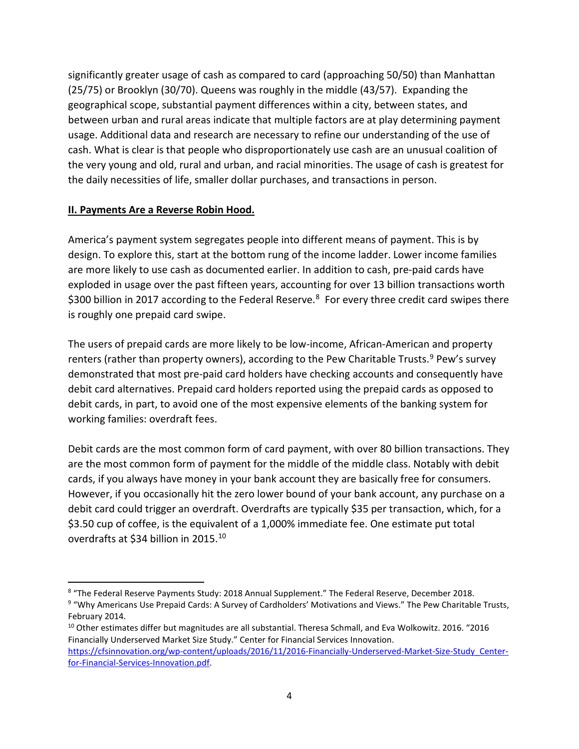significantly greater usage of cash as compared to card (approaching 50/50) than Manhattan (25/75) or Brooklyn (30/70). Queens was roughly in the middle (43/57). Expanding the geographical scope, substantial payment differences within a city, between states, and between urban and rural areas indicate that multiple factors are at play determining payment usage. Additional data and research are necessary to refine our understanding of the use of cash. What is clear is that people who disproportionately use cash are an unusual coalition of the very young and old, rural and urban, and racial minorities. The usage of cash is greatest for the daily necessities of life, smaller dollar purchases, and transactions in person.

### **II. Payments Are a Reverse Robin Hood.**

America's payment system segregates people into different means of payment. This is by design. To explore this, start at the bottom rung of the income ladder. Lower income families are more likely to use cash as documented earlier. In addition to cash, pre-paid cards have exploded in usage over the past fifteen years, accounting for over 13 billion transactions worth \$300 billion in 2017 according to the Federal Reserve. $8$  For every three credit card swipes there is roughly one prepaid card swipe.

The users of prepaid cards are more likely to be low-income, African-American and property renters (rather than property owners), according to the Pew Charitable Trusts.<sup>[9](#page-3-1)</sup> Pew's survey demonstrated that most pre-paid card holders have checking accounts and consequently have debit card alternatives. Prepaid card holders reported using the prepaid cards as opposed to debit cards, in part, to avoid one of the most expensive elements of the banking system for working families: overdraft fees.

Debit cards are the most common form of card payment, with over 80 billion transactions. They are the most common form of payment for the middle of the middle class. Notably with debit cards, if you always have money in your bank account they are basically free for consumers. However, if you occasionally hit the zero lower bound of your bank account, any purchase on a debit card could trigger an overdraft. Overdrafts are typically \$35 per transaction, which, for a \$3.50 cup of coffee, is the equivalent of a 1,000% immediate fee. One estimate put total overdrafts at \$34 billion in 2015. [10](#page-3-2)

<span id="page-3-0"></span><sup>8</sup> "The Federal Reserve Payments Study: 2018 Annual Supplement." The Federal Reserve, December 2018.

<span id="page-3-1"></span><sup>9</sup> "Why Americans Use Prepaid Cards: A Survey of Cardholders' Motivations and Views." The Pew Charitable Trusts, February 2014.

<span id="page-3-2"></span> $10$  Other estimates differ but magnitudes are all substantial. Theresa Schmall, and Eva Wolkowitz. 2016. "2016 Financially Underserved Market Size Study." Center for Financial Services Innovation. [https://cfsinnovation.org/wp-content/uploads/2016/11/2016-Financially-Underserved-Market-Size-Study\\_Center](https://cfsinnovation.org/wp-content/uploads/2016/11/2016-Financially-Underserved-Market-Size-Study_Center-for-Financial-Services-Innovation.pdf)[for-Financial-Services-Innovation.pdf.](https://cfsinnovation.org/wp-content/uploads/2016/11/2016-Financially-Underserved-Market-Size-Study_Center-for-Financial-Services-Innovation.pdf)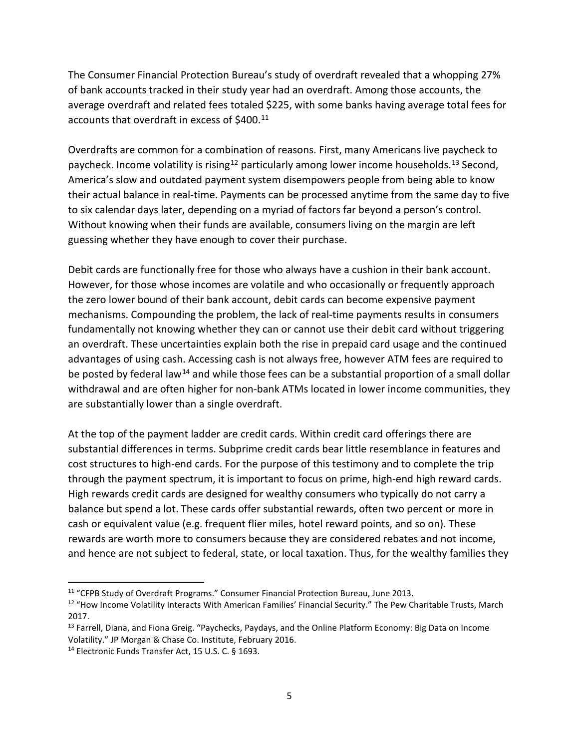The Consumer Financial Protection Bureau's study of overdraft revealed that a whopping 27% of bank accounts tracked in their study year had an overdraft. Among those accounts, the average overdraft and related fees totaled \$225, with some banks having average total fees for accounts that overdraft in excess of \$400.<sup>[11](#page-4-0)</sup>

Overdrafts are common for a combination of reasons. First, many Americans live paycheck to paycheck. Income volatility is rising<sup>[12](#page-4-1)</sup> particularly among lower income households.<sup>[13](#page-4-2)</sup> Second, America's slow and outdated payment system disempowers people from being able to know their actual balance in real-time. Payments can be processed anytime from the same day to five to six calendar days later, depending on a myriad of factors far beyond a person's control. Without knowing when their funds are available, consumers living on the margin are left guessing whether they have enough to cover their purchase.

Debit cards are functionally free for those who always have a cushion in their bank account. However, for those whose incomes are volatile and who occasionally or frequently approach the zero lower bound of their bank account, debit cards can become expensive payment mechanisms. Compounding the problem, the lack of real-time payments results in consumers fundamentally not knowing whether they can or cannot use their debit card without triggering an overdraft. These uncertainties explain both the rise in prepaid card usage and the continued advantages of using cash. Accessing cash is not always free, however ATM fees are required to be posted by federal law<sup>[14](#page-4-3)</sup> and while those fees can be a substantial proportion of a small dollar withdrawal and are often higher for non-bank ATMs located in lower income communities, they are substantially lower than a single overdraft.

At the top of the payment ladder are credit cards. Within credit card offerings there are substantial differences in terms. Subprime credit cards bear little resemblance in features and cost structures to high-end cards. For the purpose of this testimony and to complete the trip through the payment spectrum, it is important to focus on prime, high-end high reward cards. High rewards credit cards are designed for wealthy consumers who typically do not carry a balance but spend a lot. These cards offer substantial rewards, often two percent or more in cash or equivalent value (e.g. frequent flier miles, hotel reward points, and so on). These rewards are worth more to consumers because they are considered rebates and not income, and hence are not subject to federal, state, or local taxation. Thus, for the wealthy families they

<span id="page-4-0"></span><sup>&</sup>lt;sup>11</sup> "CFPB Study of Overdraft Programs." Consumer Financial Protection Bureau, June 2013.

<span id="page-4-1"></span><sup>&</sup>lt;sup>12</sup> "How Income Volatility Interacts With American Families' Financial Security." The Pew Charitable Trusts, March 2017.

<span id="page-4-2"></span><sup>&</sup>lt;sup>13</sup> Farrell, Diana, and Fiona Greig. "Paychecks, Paydays, and the Online Platform Economy: Big Data on Income Volatility." JP Morgan & Chase Co. Institute, February 2016.

<span id="page-4-3"></span><sup>14</sup> Electronic Funds Transfer Act, 15 U.S. C. § 1693.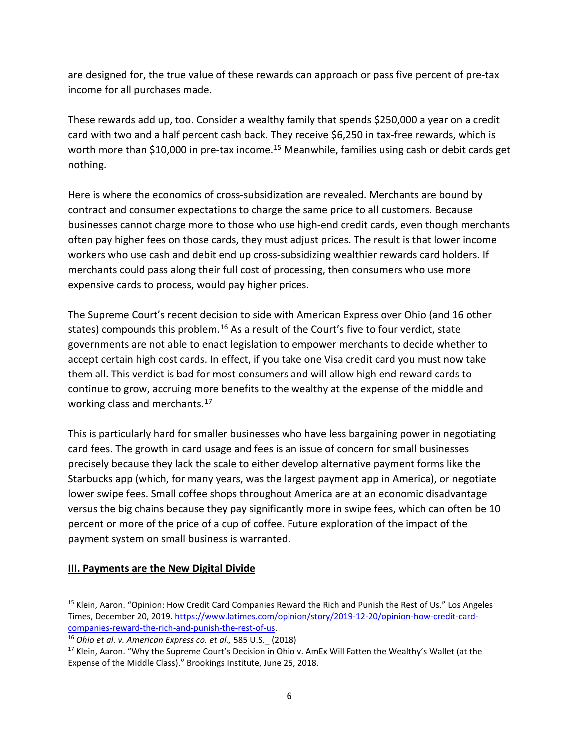are designed for, the true value of these rewards can approach or pass five percent of pre-tax income for all purchases made.

These rewards add up, too. Consider a wealthy family that spends \$250,000 a year on a credit card with two and a half percent cash back. They receive \$6,250 in tax-free rewards, which is worth more than \$10,000 in pre-tax income.<sup>[15](#page-5-0)</sup> Meanwhile, families using cash or debit cards get nothing.

Here is where the economics of cross-subsidization are revealed. Merchants are bound by contract and consumer expectations to charge the same price to all customers. Because businesses cannot charge more to those who use high-end credit cards, even though merchants often pay higher fees on those cards, they must adjust prices. The result is that lower income workers who use cash and debit end up cross-subsidizing wealthier rewards card holders. If merchants could pass along their full cost of processing, then consumers who use more expensive cards to process, would pay higher prices.

The Supreme Court's recent decision to side with American Express over Ohio (and 16 other states) compounds this problem.<sup>[16](#page-5-1)</sup> As a result of the Court's five to four verdict, state governments are not able to enact legislation to empower merchants to decide whether to accept certain high cost cards. In effect, if you take one Visa credit card you must now take them all. This verdict is bad for most consumers and will allow high end reward cards to continue to grow, accruing more benefits to the wealthy at the expense of the middle and working class and merchants.<sup>[17](#page-5-2)</sup>

This is particularly hard for smaller businesses who have less bargaining power in negotiating card fees. The growth in card usage and fees is an issue of concern for small businesses precisely because they lack the scale to either develop alternative payment forms like the Starbucks app (which, for many years, was the largest payment app in America), or negotiate lower swipe fees. Small coffee shops throughout America are at an economic disadvantage versus the big chains because they pay significantly more in swipe fees, which can often be 10 percent or more of the price of a cup of coffee. Future exploration of the impact of the payment system on small business is warranted.

### **III. Payments are the New Digital Divide**

<span id="page-5-0"></span><sup>15</sup> Klein, Aaron. "Opinion: How Credit Card Companies Reward the Rich and Punish the Rest of Us." Los Angeles Times, December 20, 2019. [https://www.latimes.com/opinion/story/2019-12-20/opinion-how-credit-card](https://www.latimes.com/opinion/story/2019-12-20/opinion-how-credit-card-companies-reward-the-rich-and-punish-the-rest-of-us)[companies-reward-the-rich-and-punish-the-rest-of-us.](https://www.latimes.com/opinion/story/2019-12-20/opinion-how-credit-card-companies-reward-the-rich-and-punish-the-rest-of-us) 16 *Ohio et al. v. American Express co. et al.,* 585 U.S.\_ (2018)

<span id="page-5-1"></span>

<span id="page-5-2"></span><sup>&</sup>lt;sup>17</sup> Klein, Aaron. "Why the Supreme Court's Decision in Ohio v. AmEx Will Fatten the Wealthy's Wallet (at the Expense of the Middle Class)." Brookings Institute, June 25, 2018.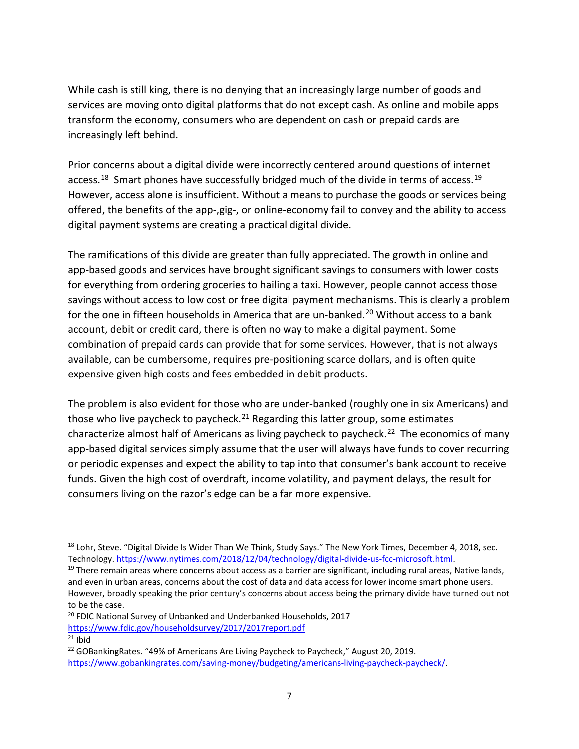While cash is still king, there is no denying that an increasingly large number of goods and services are moving onto digital platforms that do not except cash. As online and mobile apps transform the economy, consumers who are dependent on cash or prepaid cards are increasingly left behind.

Prior concerns about a digital divide were incorrectly centered around questions of internet access.<sup>18</sup> Smart phones have successfully bridged much of the divide in terms of access.<sup>19</sup> However, access alone is insufficient. Without a means to purchase the goods or services being offered, the benefits of the app-,gig-, or online-economy fail to convey and the ability to access digital payment systems are creating a practical digital divide.

The ramifications of this divide are greater than fully appreciated. The growth in online and app-based goods and services have brought significant savings to consumers with lower costs for everything from ordering groceries to hailing a taxi. However, people cannot access those savings without access to low cost or free digital payment mechanisms. This is clearly a problem for the one in fifteen households in America that are un-banked.<sup>[20](#page-6-2)</sup> Without access to a bank account, debit or credit card, there is often no way to make a digital payment. Some combination of prepaid cards can provide that for some services. However, that is not always available, can be cumbersome, requires pre-positioning scarce dollars, and is often quite expensive given high costs and fees embedded in debit products.

The problem is also evident for those who are under-banked (roughly one in six Americans) and those who live paycheck to paycheck.<sup>[21](#page-6-3)</sup> Regarding this latter group, some estimates characterize almost half of Americans as living paycheck to paycheck.<sup>[22](#page-6-4)</sup> The economics of many app-based digital services simply assume that the user will always have funds to cover recurring or periodic expenses and expect the ability to tap into that consumer's bank account to receive funds. Given the high cost of overdraft, income volatility, and payment delays, the result for consumers living on the razor's edge can be a far more expensive.

<span id="page-6-0"></span><sup>&</sup>lt;sup>18</sup> Lohr, Steve. "Digital Divide Is Wider Than We Think, Study Says." The New York Times, December 4, 2018, sec. Technology[. https://www.nytimes.com/2018/12/04/technology/digital-divide-us-fcc-microsoft.html.](https://www.nytimes.com/2018/12/04/technology/digital-divide-us-fcc-microsoft.html)

<span id="page-6-1"></span> $19$  There remain areas where concerns about access as a barrier are significant, including rural areas, Native lands, and even in urban areas, concerns about the cost of data and data access for lower income smart phone users. However, broadly speaking the prior century's concerns about access being the primary divide have turned out not to be the case.

<span id="page-6-2"></span><sup>&</sup>lt;sup>20</sup> FDIC National Survey of Unbanked and Underbanked Households, 2017 <https://www.fdic.gov/householdsurvey/2017/2017report.pdf>

<span id="page-6-3"></span> $21$  Ibid

<span id="page-6-4"></span><sup>&</sup>lt;sup>22</sup> GOBankingRates. "49% of Americans Are Living Paycheck to Paycheck," August 20, 2019. [https://www.gobankingrates.com/saving-money/budgeting/americans-living-paycheck-paycheck/.](https://www.gobankingrates.com/saving-money/budgeting/americans-living-paycheck-paycheck/)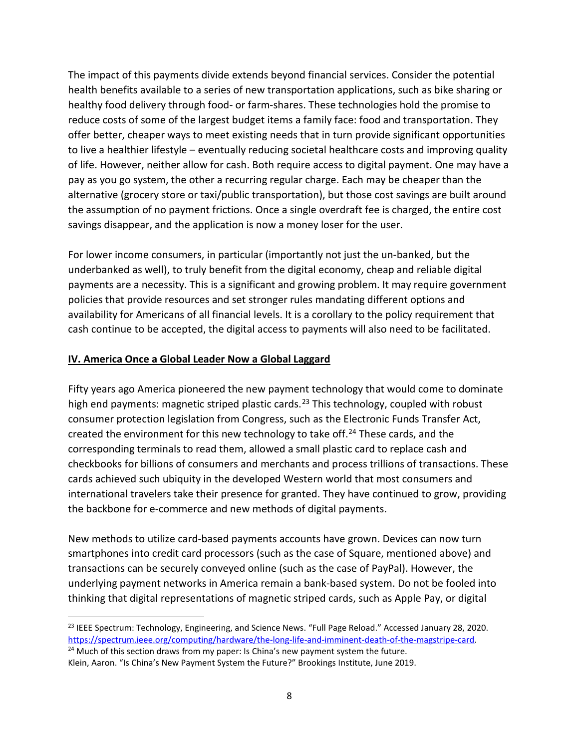The impact of this payments divide extends beyond financial services. Consider the potential health benefits available to a series of new transportation applications, such as bike sharing or healthy food delivery through food- or farm-shares. These technologies hold the promise to reduce costs of some of the largest budget items a family face: food and transportation. They offer better, cheaper ways to meet existing needs that in turn provide significant opportunities to live a healthier lifestyle – eventually reducing societal healthcare costs and improving quality of life. However, neither allow for cash. Both require access to digital payment. One may have a pay as you go system, the other a recurring regular charge. Each may be cheaper than the alternative (grocery store or taxi/public transportation), but those cost savings are built around the assumption of no payment frictions. Once a single overdraft fee is charged, the entire cost savings disappear, and the application is now a money loser for the user.

For lower income consumers, in particular (importantly not just the un-banked, but the underbanked as well), to truly benefit from the digital economy, cheap and reliable digital payments are a necessity. This is a significant and growing problem. It may require government policies that provide resources and set stronger rules mandating different options and availability for Americans of all financial levels. It is a corollary to the policy requirement that cash continue to be accepted, the digital access to payments will also need to be facilitated.

#### **IV. America Once a Global Leader Now a Global Laggard**

Fifty years ago America pioneered the new payment technology that would come to dominate high end payments: magnetic striped plastic cards.<sup>[23](#page-7-0)</sup> This technology, coupled with robust consumer protection legislation from Congress, such as the Electronic Funds Transfer Act, created the environment for this new technology to take off.<sup>[24](#page-7-1)</sup> These cards, and the corresponding terminals to read them, allowed a small plastic card to replace cash and checkbooks for billions of consumers and merchants and process trillions of transactions. These cards achieved such ubiquity in the developed Western world that most consumers and international travelers take their presence for granted. They have continued to grow, providing the backbone for e-commerce and new methods of digital payments.

New methods to utilize card-based payments accounts have grown. Devices can now turn smartphones into credit card processors (such as the case of Square, mentioned above) and transactions can be securely conveyed online (such as the case of PayPal). However, the underlying payment networks in America remain a bank-based system. Do not be fooled into thinking that digital representations of magnetic striped cards, such as Apple Pay, or digital

<span id="page-7-0"></span><sup>&</sup>lt;sup>23</sup> IEEE Spectrum: Technology, Engineering, and Science News. "Full Page Reload." Accessed January 28, 2020. [https://spectrum.ieee.org/computing/hardware/the-long-life-and-imminent-death-of-the-magstripe-card.](https://spectrum.ieee.org/computing/hardware/the-long-life-and-imminent-death-of-the-magstripe-card) <sup>24</sup> Much of this section draws from my paper: Is China's new payment system the future.

<span id="page-7-1"></span>Klein, Aaron. "Is China's New Payment System the Future?" Brookings Institute, June 2019.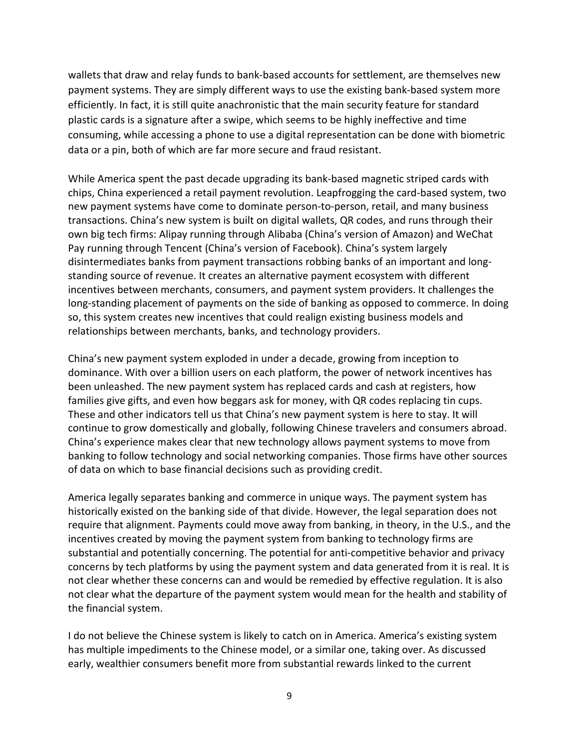wallets that draw and relay funds to bank-based accounts for settlement, are themselves new payment systems. They are simply different ways to use the existing bank-based system more efficiently. In fact, it is still quite anachronistic that the main security feature for standard plastic cards is a signature after a swipe, which seems to be highly ineffective and time consuming, while accessing a phone to use a digital representation can be done with biometric data or a pin, both of which are far more secure and fraud resistant.

While America spent the past decade upgrading its bank-based magnetic striped cards with chips, China experienced a retail payment revolution. Leapfrogging the card-based system, two new payment systems have come to dominate person-to-person, retail, and many business transactions. China's new system is built on digital wallets, QR codes, and runs through their own big tech firms: Alipay running through Alibaba (China's version of Amazon) and WeChat Pay running through Tencent (China's version of Facebook). China's system largely disintermediates banks from payment transactions robbing banks of an important and longstanding source of revenue. It creates an alternative payment ecosystem with different incentives between merchants, consumers, and payment system providers. It challenges the long-standing placement of payments on the side of banking as opposed to commerce. In doing so, this system creates new incentives that could realign existing business models and relationships between merchants, banks, and technology providers.

China's new payment system exploded in under a decade, growing from inception to dominance. With over a billion users on each platform, the power of network incentives has been unleashed. The new payment system has replaced cards and cash at registers, how families give gifts, and even how beggars ask for money, with QR codes replacing tin cups. These and other indicators tell us that China's new payment system is here to stay. It will continue to grow domestically and globally, following Chinese travelers and consumers abroad. China's experience makes clear that new technology allows payment systems to move from banking to follow technology and social networking companies. Those firms have other sources of data on which to base financial decisions such as providing credit.

America legally separates banking and commerce in unique ways. The payment system has historically existed on the banking side of that divide. However, the legal separation does not require that alignment. Payments could move away from banking, in theory, in the U.S., and the incentives created by moving the payment system from banking to technology firms are substantial and potentially concerning. The potential for anti-competitive behavior and privacy concerns by tech platforms by using the payment system and data generated from it is real. It is not clear whether these concerns can and would be remedied by effective regulation. It is also not clear what the departure of the payment system would mean for the health and stability of the financial system.

I do not believe the Chinese system is likely to catch on in America. America's existing system has multiple impediments to the Chinese model, or a similar one, taking over. As discussed early, wealthier consumers benefit more from substantial rewards linked to the current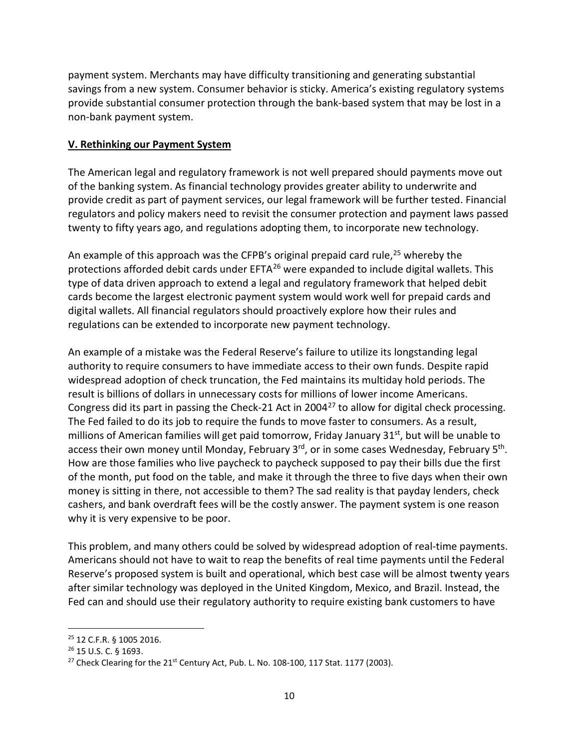payment system. Merchants may have difficulty transitioning and generating substantial savings from a new system. Consumer behavior is sticky. America's existing regulatory systems provide substantial consumer protection through the bank-based system that may be lost in a non-bank payment system.

#### **V. Rethinking our Payment System**

The American legal and regulatory framework is not well prepared should payments move out of the banking system. As financial technology provides greater ability to underwrite and provide credit as part of payment services, our legal framework will be further tested. Financial regulators and policy makers need to revisit the consumer protection and payment laws passed twenty to fifty years ago, and regulations adopting them, to incorporate new technology.

An example of this approach was the CFPB's original prepaid card rule,<sup>[25](#page-9-0)</sup> whereby the protections afforded debit cards under EFTA<sup>[26](#page-9-1)</sup> were expanded to include digital wallets. This type of data driven approach to extend a legal and regulatory framework that helped debit cards become the largest electronic payment system would work well for prepaid cards and digital wallets. All financial regulators should proactively explore how their rules and regulations can be extended to incorporate new payment technology.

An example of a mistake was the Federal Reserve's failure to utilize its longstanding legal authority to require consumers to have immediate access to their own funds. Despite rapid widespread adoption of check truncation, the Fed maintains its multiday hold periods. The result is billions of dollars in unnecessary costs for millions of lower income Americans. Congress did its part in passing the Check-21 Act in 2004 $^{27}$  $^{27}$  $^{27}$  to allow for digital check processing. The Fed failed to do its job to require the funds to move faster to consumers. As a result, millions of American families will get paid tomorrow, Friday January 31<sup>st</sup>, but will be unable to access their own money until Monday, February 3rd, or in some cases Wednesday, February 5<sup>th</sup>. How are those families who live paycheck to paycheck supposed to pay their bills due the first of the month, put food on the table, and make it through the three to five days when their own money is sitting in there, not accessible to them? The sad reality is that payday lenders, check cashers, and bank overdraft fees will be the costly answer. The payment system is one reason why it is very expensive to be poor.

This problem, and many others could be solved by widespread adoption of real-time payments. Americans should not have to wait to reap the benefits of real time payments until the Federal Reserve's proposed system is built and operational, which best case will be almost twenty years after similar technology was deployed in the United Kingdom, Mexico, and Brazil. Instead, the Fed can and should use their regulatory authority to require existing bank customers to have

<span id="page-9-0"></span><sup>25</sup> 12 C.F.R. § 1005 2016.

<span id="page-9-1"></span><sup>26</sup> 15 U.S. C. § 1693.

<span id="page-9-2"></span><sup>&</sup>lt;sup>27</sup> Check Clearing for the  $21<sup>st</sup>$  Century Act, Pub. L. No. 108-100, 117 Stat. 1177 (2003).